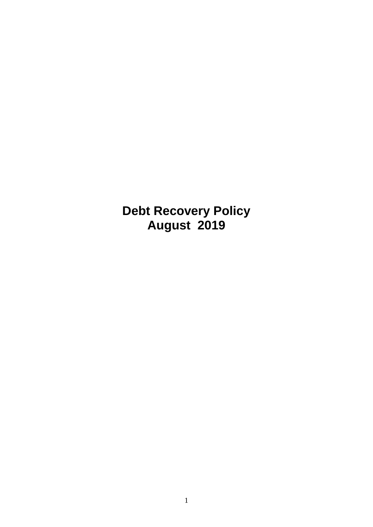**Debt Recovery Policy August 2019**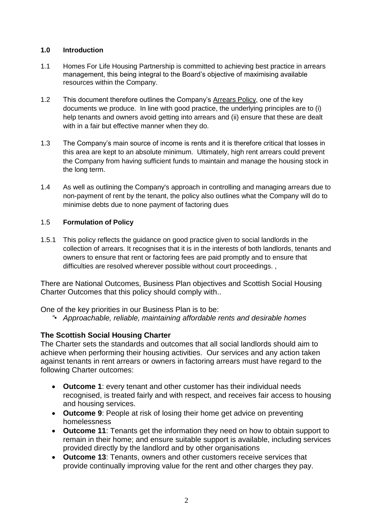## **1.0 Introduction**

- 1.1 Homes For Life Housing Partnership is committed to achieving best practice in arrears management, this being integral to the Board's objective of maximising available resources within the Company.
- 1.2 This document therefore outlines the Company's Arrears Policy, one of the key documents we produce. In line with good practice, the underlying principles are to (i) help tenants and owners avoid getting into arrears and (ii) ensure that these are dealt with in a fair but effective manner when they do.
- 1.3 The Company's main source of income is rents and it is therefore critical that losses in this area are kept to an absolute minimum. Ultimately, high rent arrears could prevent the Company from having sufficient funds to maintain and manage the housing stock in the long term.
- 1.4 As well as outlining the Company's approach in controlling and managing arrears due to non-payment of rent by the tenant, the policy also outlines what the Company will do to minimise debts due to none payment of factoring dues

### 1.5 **Formulation of Policy**

1.5.1 This policy reflects the guidance on good practice given to social landlords in the collection of arrears. It recognises that it is in the interests of both landlords, tenants and owners to ensure that rent or factoring fees are paid promptly and to ensure that difficulties are resolved wherever possible without court proceedings. ,

There are National Outcomes, Business Plan objectives and Scottish Social Housing Charter Outcomes that this policy should comply with..

One of the key priorities in our Business Plan is to be:

*"• Approachable, reliable, maintaining affordable rents and desirable homes*

## **The Scottish Social Housing Charter**

The Charter sets the standards and outcomes that all social landlords should aim to achieve when performing their housing activities. Our services and any action taken against tenants in rent arrears or owners in factoring arrears must have regard to the following Charter outcomes:

- **Outcome 1**: every tenant and other customer has their individual needs recognised, is treated fairly and with respect, and receives fair access to housing and housing services.
- **Outcome 9**: People at risk of losing their home get advice on preventing homelessness
- **Outcome 11**: Tenants get the information they need on how to obtain support to remain in their home; and ensure suitable support is available, including services provided directly by the landlord and by other organisations
- **Outcome 13**: Tenants, owners and other customers receive services that provide continually improving value for the rent and other charges they pay.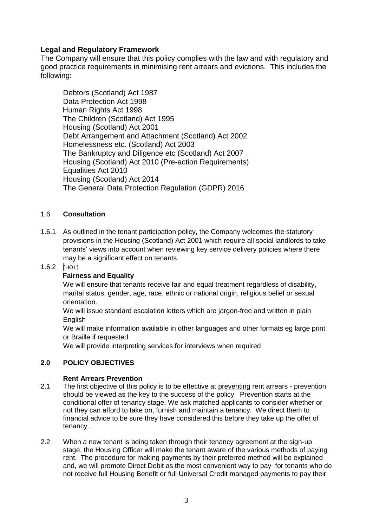# **Legal and Regulatory Framework**

The Company will ensure that this policy complies with the law and with regulatory and good practice requirements in minimising rent arrears and evictions. This includes the following:

Debtors (Scotland) Act 1987 Data Protection Act 1998 Human Rights Act 1998 The Children (Scotland) Act 1995 Housing (Scotland) Act 2001 Debt Arrangement and Attachment (Scotland) Act 2002 Homelessness etc. (Scotland) Act 2003 The Bankruptcy and Diligence etc (Scotland) Act 2007 Housing (Scotland) Act 2010 (Pre-action Requirements) Equalities Act 2010 Housing (Scotland) Act 2014 The General Data Protection Regulation (GDPR) 2016

## 1.6 **Consultation**

1.6.1 As outlined in the tenant participation policy, the Company welcomes the statutory provisions in the Housing (Scotland) Act 2001 which require all social landlords to take tenants' views into account when reviewing key service delivery policies where there may be a significant effect on tenants.

## $1.6.2$  [HO1]

## **Fairness and Equality**

We will ensure that tenants receive fair and equal treatment regardless of disability, marital status, gender, age, race, ethnic or national origin, religious belief or sexual orientation.

We will issue standard escalation letters which are jargon-free and written in plain **English** 

We will make information available in other languages and other formats eg large print or Braille if requested

We will provide interpreting services for interviews when required

## **2.0 POLICY OBJECTIVES**

### **Rent Arrears Prevention**

- 2.1 The first objective of this policy is to be effective at preventing rent arrears prevention should be viewed as the key to the success of the policy. Prevention starts at the conditional offer of tenancy stage. We ask matched applicants to consider whether or not they can afford to take on, furnish and maintain a tenancy. We direct them to financial advice to be sure they have considered this before they take up the offer of tenancy. .
- 2.2 When a new tenant is being taken through their tenancy agreement at the sign-up stage, the Housing Officer will make the tenant aware of the various methods of paying rent. The procedure for making payments by their preferred method will be explained and, we will promote Direct Debit as the most convenient way to pay for tenants who do not receive full Housing Benefit or full Universal Credit managed payments to pay their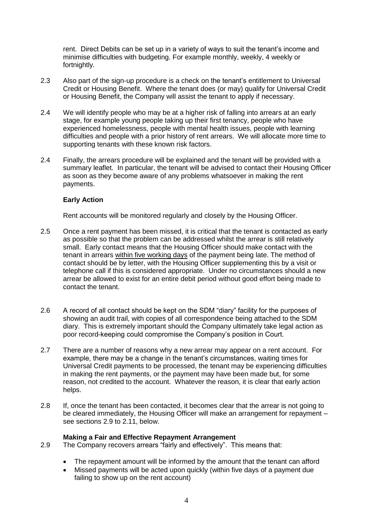rent. Direct Debits can be set up in a variety of ways to suit the tenant's income and minimise difficulties with budgeting. For example monthly, weekly, 4 weekly or fortnightly.

- 2.3 Also part of the sign-up procedure is a check on the tenant's entitlement to Universal Credit or Housing Benefit. Where the tenant does (or may) qualify for Universal Credit or Housing Benefit, the Company will assist the tenant to apply if necessary.
- 2.4 We will identify people who may be at a higher risk of falling into arrears at an early stage, for example young people taking up their first tenancy, people who have experienced homelessness, people with mental health issues, people with learning difficulties and people with a prior history of rent arrears. We will allocate more time to supporting tenants with these known risk factors.
- 2.4 Finally, the arrears procedure will be explained and the tenant will be provided with a summary leaflet. In particular, the tenant will be advised to contact their Housing Officer as soon as they become aware of any problems whatsoever in making the rent payments.

### **Early Action**

Rent accounts will be monitored regularly and closely by the Housing Officer.

- 2.5 Once a rent payment has been missed, it is critical that the tenant is contacted as early as possible so that the problem can be addressed whilst the arrear is still relatively small. Early contact means that the Housing Officer should make contact with the tenant in arrears within five working days of the payment being late. The method of contact should be by letter, with the Housing Officer supplementing this by a visit or telephone call if this is considered appropriate. Under no circumstances should a new arrear be allowed to exist for an entire debit period without good effort being made to contact the tenant.
- 2.6 A record of all contact should be kept on the SDM "diary" facility for the purposes of showing an audit trail, with copies of all correspondence being attached to the SDM diary. This is extremely important should the Company ultimately take legal action as poor record-keeping could compromise the Company's position in Court.
- 2.7 There are a number of reasons why a new arrear may appear on a rent account. For example, there may be a change in the tenant's circumstances, waiting times for Universal Credit payments to be processed, the tenant may be experiencing difficulties in making the rent payments, or the payment may have been made but, for some reason, not credited to the account. Whatever the reason, it is clear that early action helps.
- 2.8 If, once the tenant has been contacted, it becomes clear that the arrear is not going to be cleared immediately, the Housing Officer will make an arrangement for repayment – see sections 2.9 to 2.11, below.

### **Making a Fair and Effective Repayment Arrangement**

- 2.9 The Company recovers arrears "fairly and effectively". This means that:
	- The repayment amount will be informed by the amount that the tenant can afford
	- Missed payments will be acted upon quickly (within five days of a payment due failing to show up on the rent account)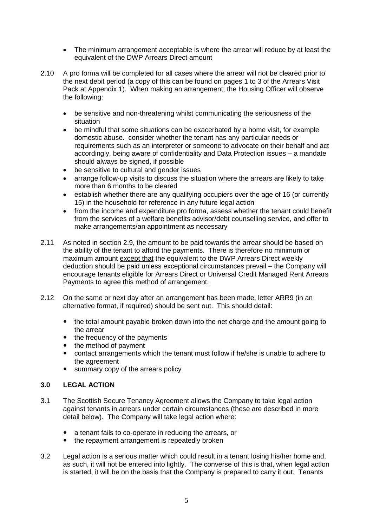- The minimum arrangement acceptable is where the arrear will reduce by at least the equivalent of the DWP Arrears Direct amount
- 2.10 A pro forma will be completed for all cases where the arrear will not be cleared prior to the next debit period (a copy of this can be found on pages 1 to 3 of the Arrears Visit Pack at Appendix 1). When making an arrangement, the Housing Officer will observe the following:
	- be sensitive and non-threatening whilst communicating the seriousness of the situation
	- be mindful that some situations can be exacerbated by a home visit, for example domestic abuse. consider whether the tenant has any particular needs or requirements such as an interpreter or someone to advocate on their behalf and act accordingly, being aware of confidentiality and Data Protection issues – a mandate should always be signed, if possible
	- be sensitive to cultural and gender issues
	- arrange follow-up visits to discuss the situation where the arrears are likely to take more than 6 months to be cleared
	- establish whether there are any qualifying occupiers over the age of 16 (or currently 15) in the household for reference in any future legal action
	- from the income and expenditure pro forma, assess whether the tenant could benefit from the services of a welfare benefits advisor/debt counselling service, and offer to make arrangements/an appointment as necessary
- 2.11 As noted in section 2.9, the amount to be paid towards the arrear should be based on the ability of the tenant to afford the payments. There is therefore no minimum or maximum amount except that the equivalent to the DWP Arrears Direct weekly deduction should be paid unless exceptional circumstances prevail – the Company will encourage tenants eligible for Arrears Direct or Universal Credit Managed Rent Arrears Payments to agree this method of arrangement.
- 2.12 On the same or next day after an arrangement has been made, letter ARR9 (in an alternative format, if required) should be sent out. This should detail:
	- the total amount payable broken down into the net charge and the amount going to the arrear
	- the frequency of the payments
	- the method of payment
	- contact arrangements which the tenant must follow if he/she is unable to adhere to the agreement
	- summary copy of the arrears policy

### **3.0 LEGAL ACTION**

- 3.1 The Scottish Secure Tenancy Agreement allows the Company to take legal action against tenants in arrears under certain circumstances (these are described in more detail below). The Company will take legal action where:
	- a tenant fails to co-operate in reducing the arrears, or
	- the repayment arrangement is repeatedly broken
- 3.2 Legal action is a serious matter which could result in a tenant losing his/her home and, as such, it will not be entered into lightly. The converse of this is that, when legal action is started, it will be on the basis that the Company is prepared to carry it out. Tenants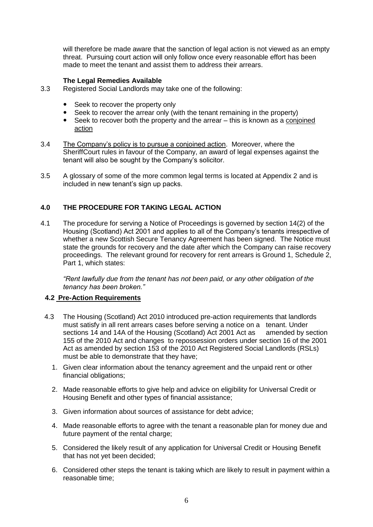will therefore be made aware that the sanction of legal action is not viewed as an empty threat. Pursuing court action will only follow once every reasonable effort has been made to meet the tenant and assist them to address their arrears.

### **The Legal Remedies Available**

- 3.3 Registered Social Landlords may take one of the following:
	- Seek to recover the property only
	- Seek to recover the arrear only (with the tenant remaining in the property)
	- Seek to recover both the property and the arrear this is known as a conjoined action
- 3.4 The Company's policy is to pursue a conjoined action. Moreover, where the SheriffCourt rules in favour of the Company, an award of legal expenses against the tenant will also be sought by the Company's solicitor.
- 3.5 A glossary of some of the more common legal terms is located at Appendix 2 and is included in new tenant's sign up packs.

## **4.0 THE PROCEDURE FOR TAKING LEGAL ACTION**

4.1 The procedure for serving a Notice of Proceedings is governed by section 14(2) of the Housing (Scotland) Act 2001 and applies to all of the Company's tenants irrespective of whether a new Scottish Secure Tenancy Agreement has been signed. The Notice must state the grounds for recovery and the date after which the Company can raise recovery proceedings. The relevant ground for recovery for rent arrears is Ground 1, Schedule 2, Part 1, which states:

*"Rent lawfully due from the tenant has not been paid, or any other obligation of the tenancy has been broken."*

## **4.2 Pre-Action Requirements**

- 4.3 The Housing (Scotland) Act 2010 introduced pre-action requirements that landlords must satisfy in all rent arrears cases before serving a notice on a tenant. Under sections 14 and 14A of the Housing (Scotland) Act 2001 Act as amended by section 155 of the 2010 Act and changes to repossession orders under section 16 of the 2001 Act as amended by section 153 of the 2010 Act Registered Social Landlords (RSLs) must be able to demonstrate that they have;
	- 1. Given clear information about the tenancy agreement and the unpaid rent or other financial obligations;
	- 2. Made reasonable efforts to give help and advice on eligibility for Universal Credit or Housing Benefit and other types of financial assistance;
	- 3. Given information about sources of assistance for debt advice;
	- 4. Made reasonable efforts to agree with the tenant a reasonable plan for money due and future payment of the rental charge;
	- 5. Considered the likely result of any application for Universal Credit or Housing Benefit that has not yet been decided;
	- 6. Considered other steps the tenant is taking which are likely to result in payment within a reasonable time;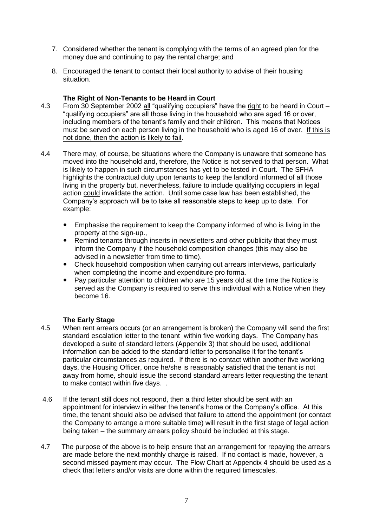- 7. Considered whether the tenant is complying with the terms of an agreed plan for the money due and continuing to pay the rental charge; and
- 8. Encouraged the tenant to contact their local authority to advise of their housing situation.

#### **The Right of Non-Tenants to be Heard in Court**

- 4.3 From 30 September 2002 all "qualifying occupiers" have the right to be heard in Court "qualifying occupiers" are all those living in the household who are aged 16 or over, including members of the tenant's family and their children. This means that Notices must be served on each person living in the household who is aged 16 of over. If this is not done, then the action is likely to fail.
- 4.4 There may, of course, be situations where the Company is unaware that someone has moved into the household and, therefore, the Notice is not served to that person. What is likely to happen in such circumstances has yet to be tested in Court. The SFHA highlights the contractual duty upon tenants to keep the landlord informed of all those living in the property but, nevertheless, failure to include qualifying occupiers in legal action could invalidate the action. Until some case law has been established, the Company's approach will be to take all reasonable steps to keep up to date. For example:
	- Emphasise the requirement to keep the Company informed of who is living in the property at the sign-up.,
	- Remind tenants through inserts in newsletters and other publicity that they must inform the Company if the household composition changes (this may also be advised in a newsletter from time to time).
	- Check household composition when carrying out arrears interviews, particularly when completing the income and expenditure pro forma.
	- Pay particular attention to children who are 15 years old at the time the Notice is served as the Company is required to serve this individual with a Notice when they become 16.

### **The Early Stage**

- 4.5 When rent arrears occurs (or an arrangement is broken) the Company will send the first standard escalation letter to the tenant within five working days. The Company has developed a suite of standard letters (Appendix 3) that should be used, additional information can be added to the standard letter to personalise it for the tenant's particular circumstances as required. If there is no contact within another five working days, the Housing Officer, once he/she is reasonably satisfied that the tenant is not away from home, should issue the second standard arrears letter requesting the tenant to make contact within five days. .
- 4.6 If the tenant still does not respond, then a third letter should be sent with an appointment for interview in either the tenant's home or the Company's office. At this time, the tenant should also be advised that failure to attend the appointment (or contact the Company to arrange a more suitable time) will result in the first stage of legal action being taken – the summary arrears policy should be included at this stage.
- 4.7 The purpose of the above is to help ensure that an arrangement for repaying the arrears are made before the next monthly charge is raised. If no contact is made, however, a second missed payment may occur. The Flow Chart at Appendix 4 should be used as a check that letters and/or visits are done within the required timescales.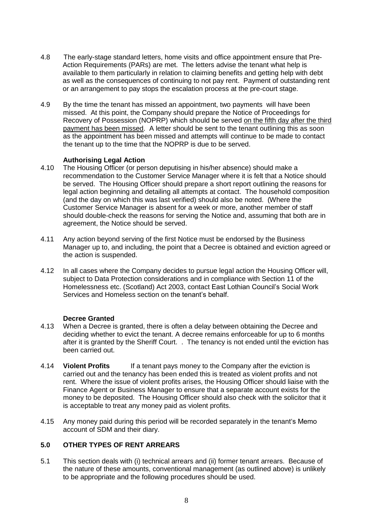- 4.8 The early-stage standard letters, home visits and office appointment ensure that Pre-Action Requirements (PARs) are met. The letters advise the tenant what help is available to them particularly in relation to claiming benefits and getting help with debt as well as the consequences of continuing to not pay rent. Payment of outstanding rent or an arrangement to pay stops the escalation process at the pre-court stage.
- 4.9 By the time the tenant has missed an appointment, two payments will have been missed. At this point, the Company should prepare the Notice of Proceedings for Recovery of Possession (NOPRP) which should be served on the fifth day after the third payment has been missed. A letter should be sent to the tenant outlining this as soon as the appointment has been missed and attempts will continue to be made to contact the tenant up to the time that the NOPRP is due to be served.

### **Authorising Legal Action**

- 4.10 The Housing Officer (or person deputising in his/her absence) should make a recommendation to the Customer Service Manager where it is felt that a Notice should be served. The Housing Officer should prepare a short report outlining the reasons for legal action beginning and detailing all attempts at contact. The household composition (and the day on which this was last verified) should also be noted. (Where the Customer Service Manager is absent for a week or more, another member of staff should double-check the reasons for serving the Notice and, assuming that both are in agreement, the Notice should be served.
- 4.11 Any action beyond serving of the first Notice must be endorsed by the Business Manager up to, and including, the point that a Decree is obtained and eviction agreed or the action is suspended.
- 4.12 In all cases where the Company decides to pursue legal action the Housing Officer will, subject to Data Protection considerations and in compliance with Section 11 of the Homelessness etc. (Scotland) Act 2003, contact East Lothian Council's Social Work Services and Homeless section on the tenant's behalf.

### **Decree Granted**

- 4.13 When a Decree is granted, there is often a delay between obtaining the Decree and deciding whether to evict the tenant. A decree remains enforceable for up to 6 months after it is granted by the Sheriff Court. . The tenancy is not ended until the eviction has been carried out.
- 4.14 **Violent Profits** If a tenant pays money to the Company after the eviction is carried out and the tenancy has been ended this is treated as violent profits and not rent. Where the issue of violent profits arises, the Housing Officer should liaise with the Finance Agent or Business Manager to ensure that a separate account exists for the money to be deposited. The Housing Officer should also check with the solicitor that it is acceptable to treat any money paid as violent profits.
- 4.15 Any money paid during this period will be recorded separately in the tenant's Memo account of SDM and their diary.

### **5.0 OTHER TYPES OF RENT ARREARS**

5.1 This section deals with (i) technical arrears and (ii) former tenant arrears. Because of the nature of these amounts, conventional management (as outlined above) is unlikely to be appropriate and the following procedures should be used.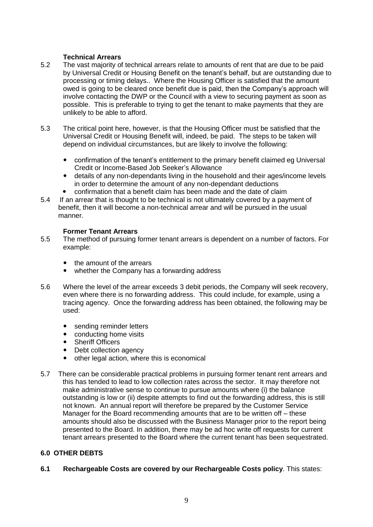### **Technical Arrears**

- 5.2 The vast majority of technical arrears relate to amounts of rent that are due to be paid by Universal Credit or Housing Benefit on the tenant's behalf, but are outstanding due to processing or timing delays.. Where the Housing Officer is satisfied that the amount owed is going to be cleared once benefit due is paid, then the Company's approach will involve contacting the DWP or the Council with a view to securing payment as soon as possible. This is preferable to trying to get the tenant to make payments that they are unlikely to be able to afford.
- 5.3 The critical point here, however, is that the Housing Officer must be satisfied that the Universal Credit or Housing Benefit will, indeed, be paid. The steps to be taken will depend on individual circumstances, but are likely to involve the following:
	- confirmation of the tenant's entitlement to the primary benefit claimed eg Universal Credit or Income-Based Job Seeker's Allowance
	- details of any non-dependants living in the household and their ages/income levels in order to determine the amount of any non-dependant deductions
	- confirmation that a benefit claim has been made and the date of claim
- 5.4 If an arrear that is thought to be technical is not ultimately covered by a payment of benefit, then it will become a non-technical arrear and will be pursued in the usual manner.

### **Former Tenant Arrears**

- 5.5 The method of pursuing former tenant arrears is dependent on a number of factors. For example:
	- the amount of the arrears
	- whether the Company has a forwarding address
- 5.6 Where the level of the arrear exceeds 3 debit periods, the Company will seek recovery, even where there is no forwarding address. This could include, for example, using a tracing agency. Once the forwarding address has been obtained, the following may be used:
	- sending reminder letters
	- conducting home visits
	- Sheriff Officers
	- Debt collection agency
	- other legal action, where this is economical
- 5.7 There can be considerable practical problems in pursuing former tenant rent arrears and this has tended to lead to low collection rates across the sector. It may therefore not make administrative sense to continue to pursue amounts where (i) the balance outstanding is low or (ii) despite attempts to find out the forwarding address, this is still not known. An annual report will therefore be prepared by the Customer Service Manager for the Board recommending amounts that are to be written off – these amounts should also be discussed with the Business Manager prior to the report being presented to the Board. In addition, there may be ad hoc write off requests for current tenant arrears presented to the Board where the current tenant has been sequestrated.

### **6.0 OTHER DEBTS**

**6.1 Rechargeable Costs are covered by our Rechargeable Costs policy**. This states: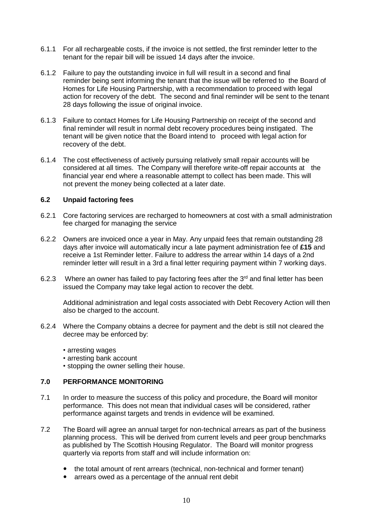- 6.1.1 For all rechargeable costs, if the invoice is not settled, the first reminder letter to the tenant for the repair bill will be issued 14 days after the invoice.
- 6.1.2 Failure to pay the outstanding invoice in full will result in a second and final reminder being sent informing the tenant that the issue will be referred to the Board of Homes for Life Housing Partnership, with a recommendation to proceed with legal action for recovery of the debt. The second and final reminder will be sent to the tenant 28 days following the issue of original invoice.
- 6.1.3 Failure to contact Homes for Life Housing Partnership on receipt of the second and final reminder will result in normal debt recovery procedures being instigated. The tenant will be given notice that the Board intend to proceed with legal action for recovery of the debt.
- 6.1.4 The cost effectiveness of actively pursuing relatively small repair accounts will be considered at all times. The Company will therefore write-off repair accounts at the financial year end where a reasonable attempt to collect has been made. This will not prevent the money being collected at a later date.

### **6.2 Unpaid factoring fees**

- 6.2.1 Core factoring services are recharged to homeowners at cost with a small administration fee charged for managing the service
- 6.2.2 Owners are invoiced once a year in May. Any unpaid fees that remain outstanding 28 days after invoice will automatically incur a late payment administration fee of **£15** and receive a 1st Reminder letter. Failure to address the arrear within 14 days of a 2nd reminder letter will result in a 3rd a final letter requiring payment within 7 working days.
- 6.2.3 Where an owner has failed to pay factoring fees after the  $3<sup>rd</sup>$  and final letter has been issued the Company may take legal action to recover the debt.

Additional administration and legal costs associated with Debt Recovery Action will then also be charged to the account.

- 6.2.4 Where the Company obtains a decree for payment and the debt is still not cleared the decree may be enforced by:
	- arresting wages
	- arresting bank account
	- stopping the owner selling their house.

### **7.0 PERFORMANCE MONITORING**

- 7.1 In order to measure the success of this policy and procedure, the Board will monitor performance. This does not mean that individual cases will be considered, rather performance against targets and trends in evidence will be examined.
- 7.2 The Board will agree an annual target for non-technical arrears as part of the business planning process. This will be derived from current levels and peer group benchmarks as published by The Scottish Housing Regulator. The Board will monitor progress quarterly via reports from staff and will include information on:
	- the total amount of rent arrears (technical, non-technical and former tenant)
	- arrears owed as a percentage of the annual rent debit